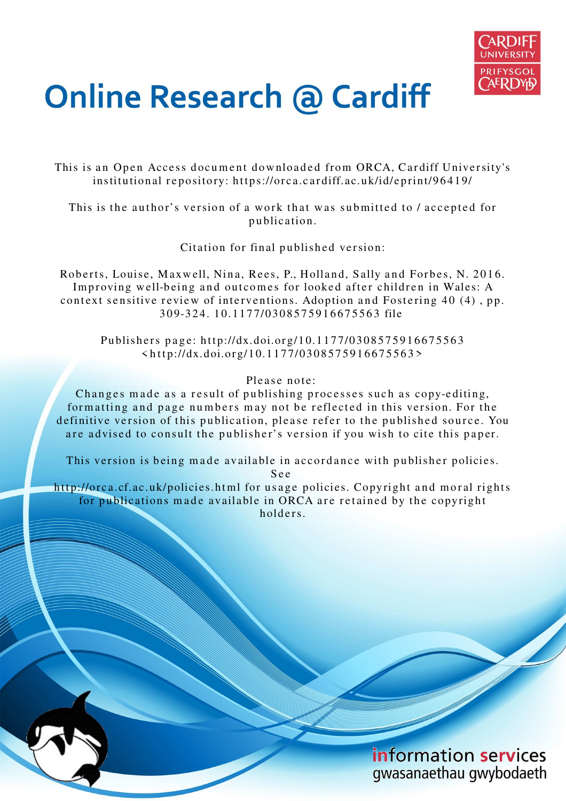

# **Online Research @ Cardiff**

This is an Open Access document downloaded from ORCA, Cardiff University's institutional repository: https://orca.cardiff.ac.uk/id/eprint/96419/

This is the author's version of a work that was submitted to / accepted for p u blication.

Citation for final published version:

Roberts, Louise, Maxwell, Nina, Rees, P., Holland, Sally and Forbes, N. 2016. Improving well-being and outcomes for looked after children in Wales: A context sensitive review of interventions. Adoption and Fostering 40 (4), pp. 3 0 9-3 2 4. 1 0.11 7 7/03 0 8 5 7 5 9 1 6 6 7 5 5 6 3 file

Publishers page: http://dx.doi.org/10.1177/0308575916675563  $\frac{\text{th}}{\text{tip}}$ ://dx.doi.org/10.1177/0308575916675563>

Please note:

Changes made as a result of publishing processes such as copy-editing, formatting and page numbers may not be reflected in this version. For the definitive version of this publication, please refer to the published source. You are advised to consult the publisher's version if you wish to cite this paper.

This version is being made available in accordance with publisher policies.

S e e

http://orca.cf.ac.uk/policies.html for usage policies. Copyright and moral rights for publications made available in ORCA are retained by the copyright holders



information services gwasanaethau gwybodaeth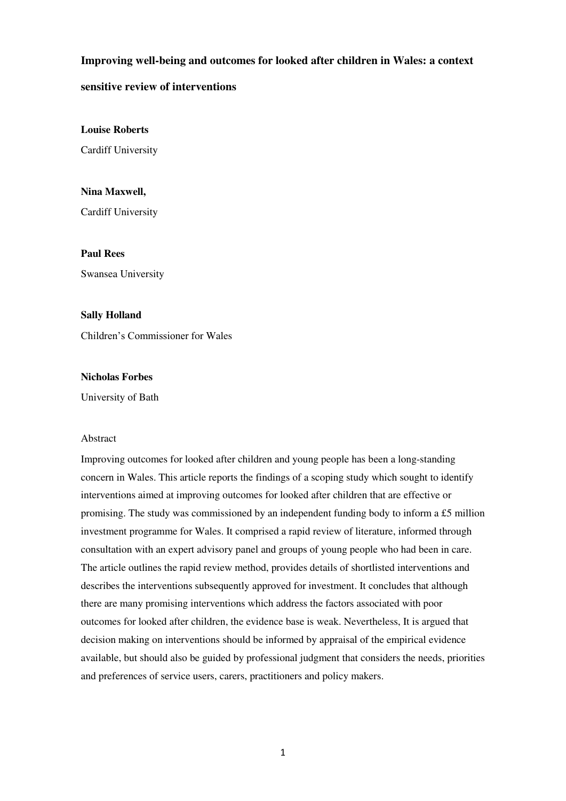### **Improving well-being and outcomes for looked after children in Wales: a context**

### **sensitive review of interventions**

**Louise Roberts** 

Cardiff University

**Nina Maxwell,**  Cardiff University

**Paul Rees** 

Swansea University

#### **Sally Holland**

Children's Commissioner for Wales

#### **Nicholas Forbes**

University of Bath

#### Abstract

Improving outcomes for looked after children and young people has been a long-standing concern in Wales. This article reports the findings of a scoping study which sought to identify interventions aimed at improving outcomes for looked after children that are effective or promising. The study was commissioned by an independent funding body to inform a £5 million investment programme for Wales. It comprised a rapid review of literature, informed through consultation with an expert advisory panel and groups of young people who had been in care. The article outlines the rapid review method, provides details of shortlisted interventions and describes the interventions subsequently approved for investment. It concludes that although there are many promising interventions which address the factors associated with poor outcomes for looked after children, the evidence base is weak. Nevertheless, It is argued that decision making on interventions should be informed by appraisal of the empirical evidence available, but should also be guided by professional judgment that considers the needs, priorities and preferences of service users, carers, practitioners and policy makers.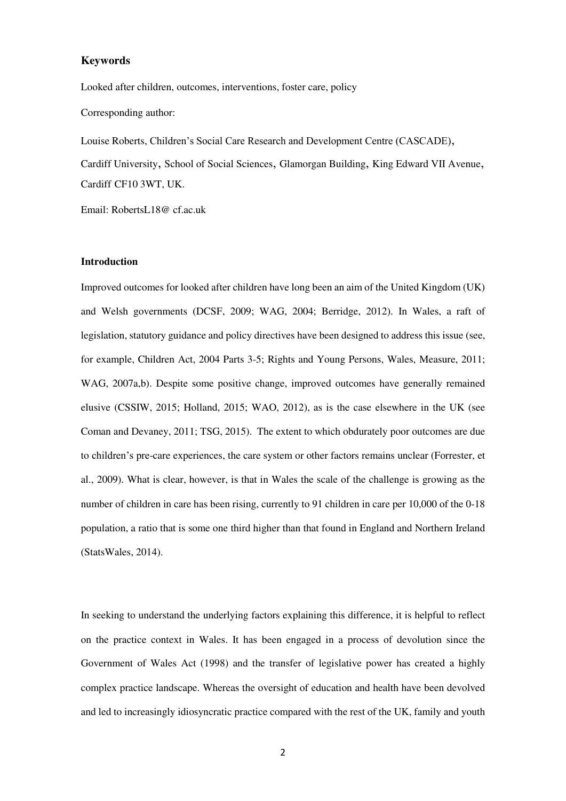#### **Keywords**

Looked after children, outcomes, interventions, foster care, policy Corresponding author:

Louise Roberts, Children's Social Care Research and Development Centre (CASCADE), Cardiff University, School of Social Sciences, Glamorgan Building, King Edward VII Avenue, Cardiff CF10 3WT, UK.

Email: RobertsL18@ cf.ac.uk

#### **Introduction**

Improved outcomes for looked after children have long been an aim of the United Kingdom (UK) and Welsh governments (DCSF, 2009; WAG, 2004; Berridge, 2012). In Wales, a raft of legislation, statutory guidance and policy directives have been designed to address this issue (see, for example, Children Act, 2004 Parts 3-5; Rights and Young Persons, Wales, Measure, 2011; WAG, 2007a,b). Despite some positive change, improved outcomes have generally remained elusive (CSSIW, 2015; Holland, 2015; WAO, 2012), as is the case elsewhere in the UK (see Coman and Devaney, 2011; TSG, 2015). The extent to which obdurately poor outcomes are due to children's pre-care experiences, the care system or other factors remains unclear (Forrester, et al., 2009). What is clear, however, is that in Wales the scale of the challenge is growing as the number of children in care has been rising, currently to 91 children in care per 10,000 of the 0-18 population, a ratio that is some one third higher than that found in England and Northern Ireland (StatsWales, 2014).

In seeking to understand the underlying factors explaining this difference, it is helpful to reflect on the practice context in Wales. It has been engaged in a process of devolution since the Government of Wales Act (1998) and the transfer of legislative power has created a highly complex practice landscape. Whereas the oversight of education and health have been devolved and led to increasingly idiosyncratic practice compared with the rest of the UK, family and youth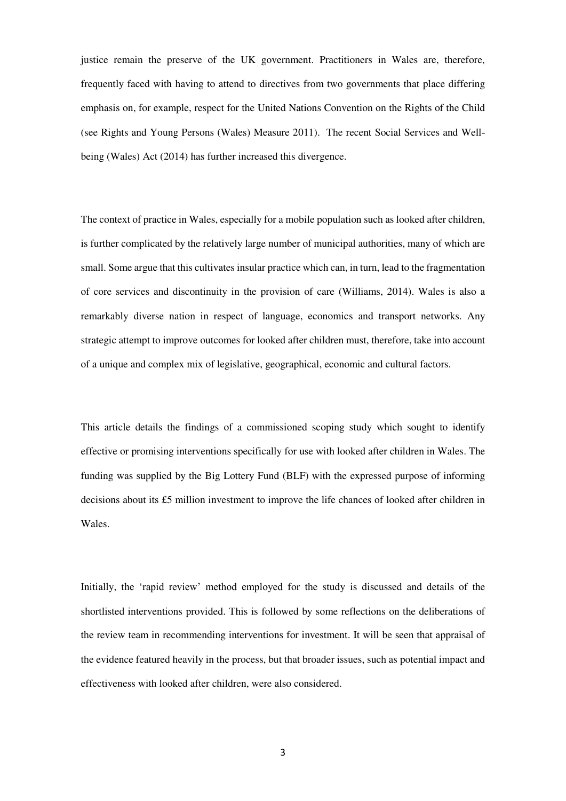justice remain the preserve of the UK government. Practitioners in Wales are, therefore, frequently faced with having to attend to directives from two governments that place differing emphasis on, for example, respect for the United Nations Convention on the Rights of the Child (see Rights and Young Persons (Wales) Measure 2011). The recent Social Services and Wellbeing (Wales) Act (2014) has further increased this divergence.

The context of practice in Wales, especially for a mobile population such as looked after children, is further complicated by the relatively large number of municipal authorities, many of which are small. Some argue that this cultivates insular practice which can, in turn, lead to the fragmentation of core services and discontinuity in the provision of care (Williams, 2014). Wales is also a remarkably diverse nation in respect of language, economics and transport networks. Any strategic attempt to improve outcomes for looked after children must, therefore, take into account of a unique and complex mix of legislative, geographical, economic and cultural factors.

This article details the findings of a commissioned scoping study which sought to identify effective or promising interventions specifically for use with looked after children in Wales. The funding was supplied by the Big Lottery Fund (BLF) with the expressed purpose of informing decisions about its £5 million investment to improve the life chances of looked after children in Wales.

Initially, the 'rapid review' method employed for the study is discussed and details of the shortlisted interventions provided. This is followed by some reflections on the deliberations of the review team in recommending interventions for investment. It will be seen that appraisal of the evidence featured heavily in the process, but that broader issues, such as potential impact and effectiveness with looked after children, were also considered.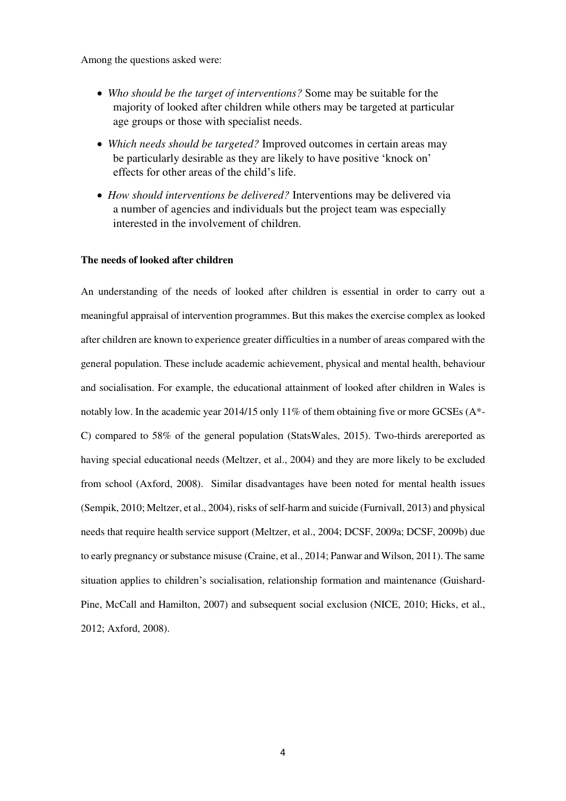Among the questions asked were:

- *Who should be the target of interventions?* Some may be suitable for the majority of looked after children while others may be targeted at particular age groups or those with specialist needs.
- *Which needs should be targeted?* Improved outcomes in certain areas may be particularly desirable as they are likely to have positive 'knock on' effects for other areas of the child's life.
- *How should interventions be delivered?* Interventions may be delivered via a number of agencies and individuals but the project team was especially interested in the involvement of children.

#### **The needs of looked after children**

An understanding of the needs of looked after children is essential in order to carry out a meaningful appraisal of intervention programmes. But this makes the exercise complex as looked after children are known to experience greater difficulties in a number of areas compared with the general population. These include academic achievement, physical and mental health, behaviour and socialisation. For example, the educational attainment of looked after children in Wales is notably low. In the academic year 2014/15 only 11% of them obtaining five or more GCSEs (A\*-C) compared to 58% of the general population (StatsWales, 2015). Two-thirds arereported as having special educational needs (Meltzer, et al., 2004) and they are more likely to be excluded from school (Axford, 2008). Similar disadvantages have been noted for mental health issues (Sempik, 2010; Meltzer, et al., 2004), risks of self-harm and suicide (Furnivall, 2013) and physical needs that require health service support (Meltzer, et al., 2004; DCSF, 2009a; DCSF, 2009b) due to early pregnancy or substance misuse (Craine, et al., 2014; Panwar and Wilson, 2011). The same situation applies to children's socialisation, relationship formation and maintenance (Guishard-Pine, McCall and Hamilton, 2007) and subsequent social exclusion (NICE, 2010; Hicks, et al., 2012; Axford, 2008).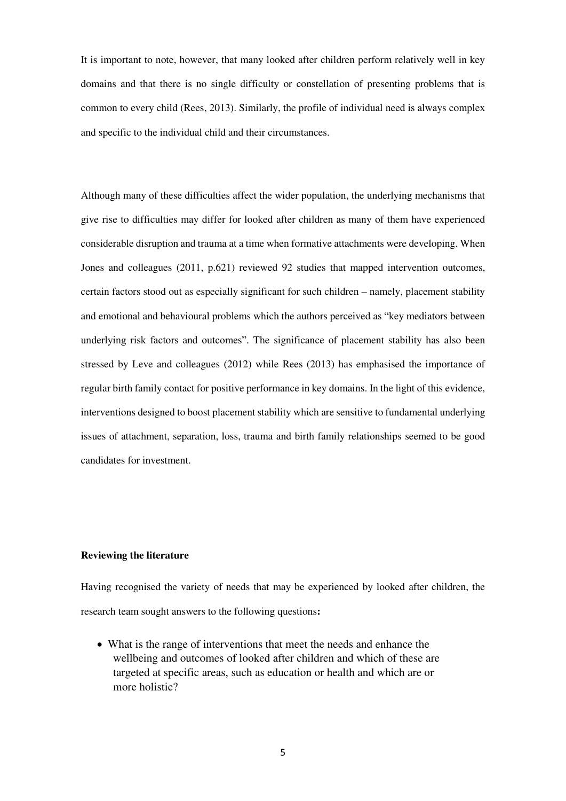It is important to note, however, that many looked after children perform relatively well in key domains and that there is no single difficulty or constellation of presenting problems that is common to every child (Rees, 2013). Similarly, the profile of individual need is always complex and specific to the individual child and their circumstances.

Although many of these difficulties affect the wider population, the underlying mechanisms that give rise to difficulties may differ for looked after children as many of them have experienced considerable disruption and trauma at a time when formative attachments were developing. When Jones and colleagues (2011, p.621) reviewed 92 studies that mapped intervention outcomes, certain factors stood out as especially significant for such children – namely, placement stability and emotional and behavioural problems which the authors perceived as "key mediators between underlying risk factors and outcomes". The significance of placement stability has also been stressed by Leve and colleagues (2012) while Rees (2013) has emphasised the importance of regular birth family contact for positive performance in key domains. In the light of this evidence, interventions designed to boost placement stability which are sensitive to fundamental underlying issues of attachment, separation, loss, trauma and birth family relationships seemed to be good candidates for investment.

#### **Reviewing the literature**

Having recognised the variety of needs that may be experienced by looked after children, the research team sought answers to the following questions**:** 

 What is the range of interventions that meet the needs and enhance the wellbeing and outcomes of looked after children and which of these are targeted at specific areas, such as education or health and which are or more holistic?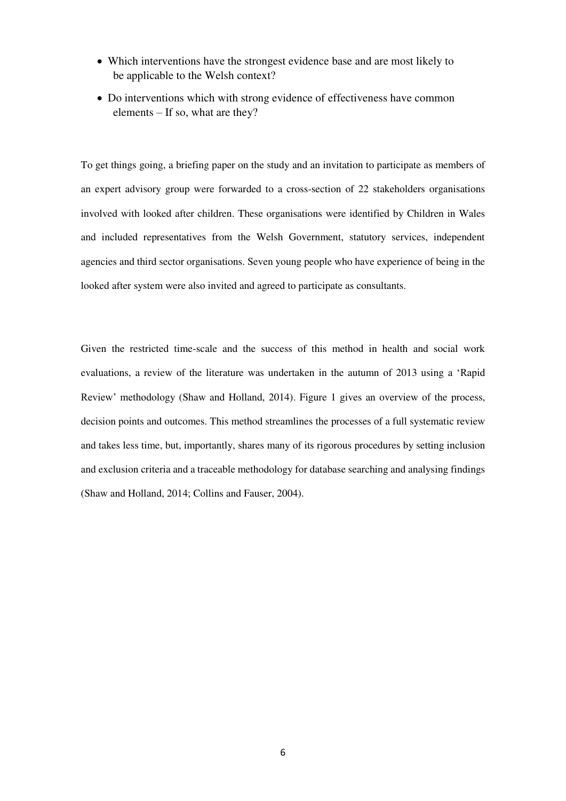- Which interventions have the strongest evidence base and are most likely to be applicable to the Welsh context?
- Do interventions which with strong evidence of effectiveness have common elements – If so, what are they?

To get things going, a briefing paper on the study and an invitation to participate as members of an expert advisory group were forwarded to a cross-section of 22 stakeholders organisations involved with looked after children. These organisations were identified by Children in Wales and included representatives from the Welsh Government, statutory services, independent agencies and third sector organisations. Seven young people who have experience of being in the looked after system were also invited and agreed to participate as consultants.

Given the restricted time-scale and the success of this method in health and social work evaluations, a review of the literature was undertaken in the autumn of 2013 using a 'Rapid Review' methodology (Shaw and Holland, 2014). Figure 1 gives an overview of the process, decision points and outcomes. This method streamlines the processes of a full systematic review and takes less time, but, importantly, shares many of its rigorous procedures by setting inclusion and exclusion criteria and a traceable methodology for database searching and analysing findings (Shaw and Holland, 2014; Collins and Fauser, 2004).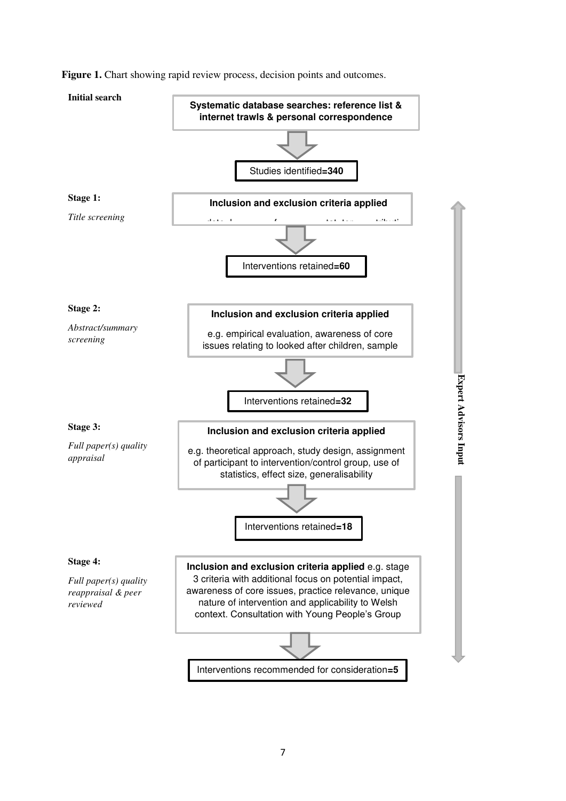

**Figure 1.** Chart showing rapid review process, decision points and outcomes.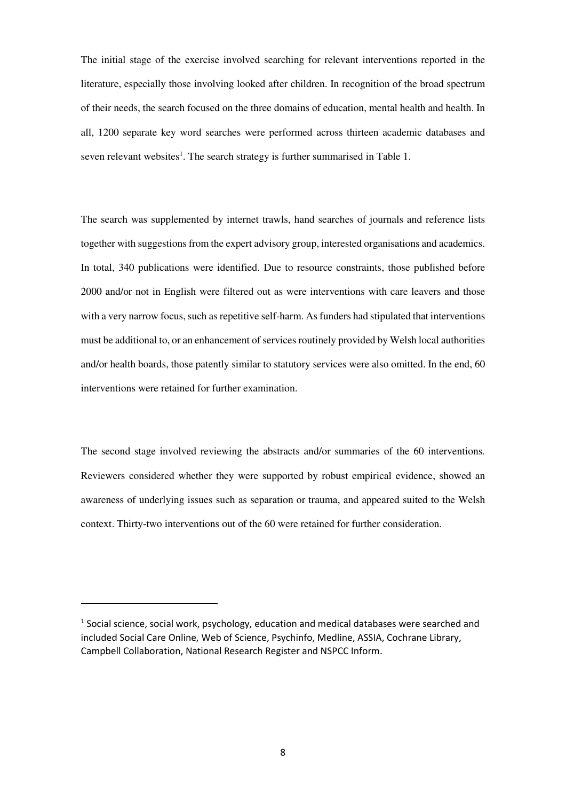The initial stage of the exercise involved searching for relevant interventions reported in the literature, especially those involving looked after children. In recognition of the broad spectrum of their needs, the search focused on the three domains of education, mental health and health. In all, 1200 separate key word searches were performed across thirteen academic databases and seven relevant websites<sup>1</sup>. The search strategy is further summarised in Table 1.

The search was supplemented by internet trawls, hand searches of journals and reference lists together with suggestions from the expert advisory group, interested organisations and academics. In total, 340 publications were identified. Due to resource constraints, those published before 2000 and/or not in English were filtered out as were interventions with care leavers and those with a very narrow focus, such as repetitive self-harm. As funders had stipulated that interventions must be additional to, or an enhancement of services routinely provided by Welsh local authorities and/or health boards, those patently similar to statutory services were also omitted. In the end, 60 interventions were retained for further examination.

The second stage involved reviewing the abstracts and/or summaries of the 60 interventions. Reviewers considered whether they were supported by robust empirical evidence, showed an awareness of underlying issues such as separation or trauma, and appeared suited to the Welsh context. Thirty-two interventions out of the 60 were retained for further consideration.

-

 $<sup>1</sup>$  Social science, social work, psychology, education and medical databases were searched and</sup> included Social Care Online, Web of Science, Psychinfo, Medline, ASSIA, Cochrane Library, Campbell Collaboration, National Research Register and NSPCC Inform.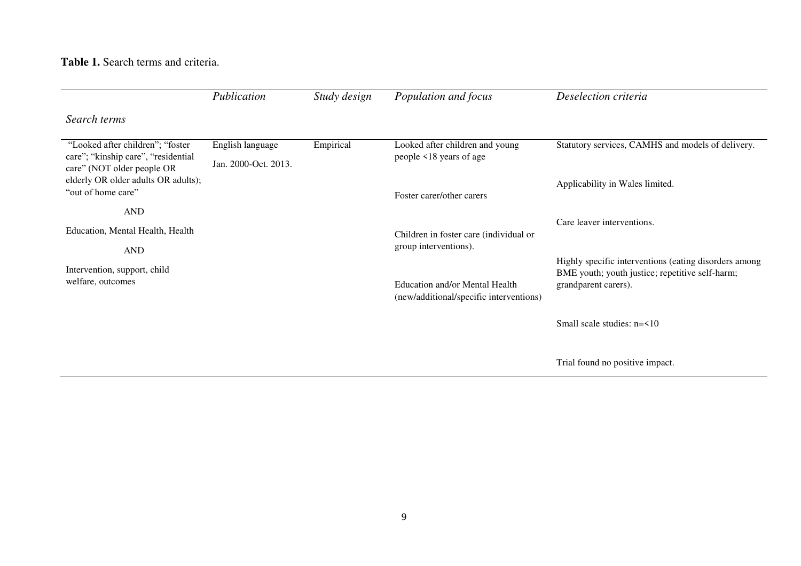**Table 1.** Search terms and criteria.

|                                                                                                        | Publication                              | Study design | Population and focus                                                      | Deselection criteria                                                    |
|--------------------------------------------------------------------------------------------------------|------------------------------------------|--------------|---------------------------------------------------------------------------|-------------------------------------------------------------------------|
| Search terms                                                                                           |                                          |              |                                                                           |                                                                         |
| "Looked after children"; "foster<br>care"; "kinship care", "residential"<br>care" (NOT older people OR | English language<br>Jan. 2000-Oct. 2013. | Empirical    | Looked after children and young<br>people <18 years of age                | Statutory services, CAMHS and models of delivery.                       |
| elderly OR older adults OR adults);<br>"out of home care"                                              |                                          |              | Foster carer/other carers                                                 | Applicability in Wales limited.                                         |
| <b>AND</b>                                                                                             |                                          |              |                                                                           |                                                                         |
| Education, Mental Health, Health                                                                       |                                          |              | Children in foster care (individual or<br>group interventions).           | Care leaver interventions.                                              |
| <b>AND</b>                                                                                             |                                          |              |                                                                           | Highly specific interventions (eating disorders among                   |
| Intervention, support, child<br>welfare, outcomes                                                      |                                          |              | Education and/or Mental Health<br>(new/additional/specific interventions) | BME youth; youth justice; repetitive self-harm;<br>grandparent carers). |
|                                                                                                        |                                          |              |                                                                           | Small scale studies: n=<10                                              |
|                                                                                                        |                                          |              |                                                                           | Trial found no positive impact.                                         |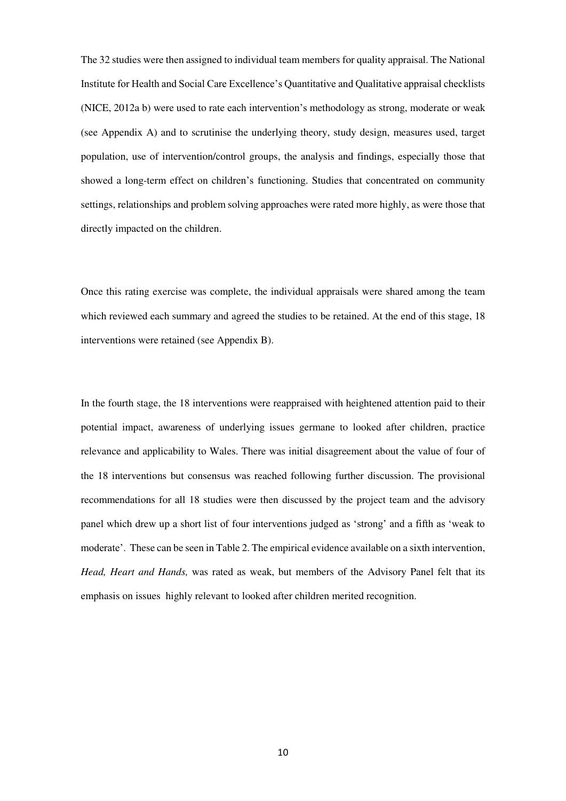The 32 studies were then assigned to individual team members for quality appraisal. The National Institute for Health and Social Care Excellence's Quantitative and Qualitative appraisal checklists (NICE, 2012a b) were used to rate each intervention's methodology as strong, moderate or weak (see Appendix A) and to scrutinise the underlying theory, study design, measures used, target population, use of intervention/control groups, the analysis and findings, especially those that showed a long-term effect on children's functioning. Studies that concentrated on community settings, relationships and problem solving approaches were rated more highly, as were those that directly impacted on the children.

Once this rating exercise was complete, the individual appraisals were shared among the team which reviewed each summary and agreed the studies to be retained. At the end of this stage, 18 interventions were retained (see Appendix B).

In the fourth stage, the 18 interventions were reappraised with heightened attention paid to their potential impact, awareness of underlying issues germane to looked after children, practice relevance and applicability to Wales. There was initial disagreement about the value of four of the 18 interventions but consensus was reached following further discussion. The provisional recommendations for all 18 studies were then discussed by the project team and the advisory panel which drew up a short list of four interventions judged as 'strong' and a fifth as 'weak to moderate'. These can be seen in Table 2. The empirical evidence available on a sixth intervention, *Head, Heart and Hands,* was rated as weak, but members of the Advisory Panel felt that its emphasis on issues highly relevant to looked after children merited recognition.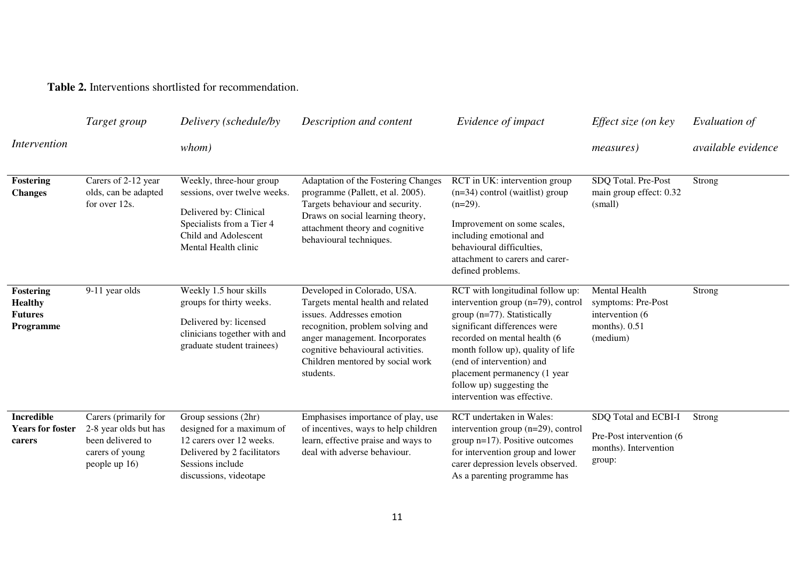**Table 2.** Interventions shortlisted for recommendation.

|                                                                          | Target group                                                                                            | Delivery (schedule/by                                                                                                                                           | Description and content                                                                                                                                                                                                                                   | Evidence of impact                                                                                                                                                                                                                                                                                                                  | Effect size (on key                                                                    | Evaluation of             |
|--------------------------------------------------------------------------|---------------------------------------------------------------------------------------------------------|-----------------------------------------------------------------------------------------------------------------------------------------------------------------|-----------------------------------------------------------------------------------------------------------------------------------------------------------------------------------------------------------------------------------------------------------|-------------------------------------------------------------------------------------------------------------------------------------------------------------------------------------------------------------------------------------------------------------------------------------------------------------------------------------|----------------------------------------------------------------------------------------|---------------------------|
| <i>Intervention</i>                                                      |                                                                                                         | whom)                                                                                                                                                           |                                                                                                                                                                                                                                                           |                                                                                                                                                                                                                                                                                                                                     | <i>measures</i> )                                                                      | <i>available evidence</i> |
| Fostering<br><b>Changes</b>                                              | Carers of 2-12 year<br>olds, can be adapted<br>for over 12s.                                            | Weekly, three-hour group<br>sessions, over twelve weeks.<br>Delivered by: Clinical<br>Specialists from a Tier 4<br>Child and Adolescent<br>Mental Health clinic | Adaptation of the Fostering Changes<br>programme (Pallett, et al. 2005).<br>Targets behaviour and security.<br>Draws on social learning theory,<br>attachment theory and cognitive<br>behavioural techniques.                                             | RCT in UK: intervention group<br>$(n=34)$ control (waitlist) group<br>$(n=29)$ .<br>Improvement on some scales,<br>including emotional and<br>behavioural difficulties,<br>attachment to carers and carer-<br>defined problems.                                                                                                     | SDQ Total. Pre-Post<br>main group effect: 0.32<br>(small)                              | Strong                    |
| <b>Fostering</b><br><b>Healthy</b><br><b>Futures</b><br><b>Programme</b> | 9-11 year olds                                                                                          | Weekly 1.5 hour skills<br>groups for thirty weeks.<br>Delivered by: licensed<br>clinicians together with and<br>graduate student trainees)                      | Developed in Colorado, USA.<br>Targets mental health and related<br>issues. Addresses emotion<br>recognition, problem solving and<br>anger management. Incorporates<br>cognitive behavioural activities.<br>Children mentored by social work<br>students. | RCT with longitudinal follow up:<br>intervention group (n=79), control<br>group (n=77). Statistically<br>significant differences were<br>recorded on mental health (6<br>month follow up), quality of life<br>(end of intervention) and<br>placement permanency (1 year<br>follow up) suggesting the<br>intervention was effective. | Mental Health<br>symptoms: Pre-Post<br>intervention (6)<br>months). $0.51$<br>(medium) | Strong                    |
| <b>Incredible</b><br><b>Years for foster</b><br>carers                   | Carers (primarily for<br>2-8 year olds but has<br>been delivered to<br>carers of young<br>people up 16) | Group sessions (2hr)<br>designed for a maximum of<br>12 carers over 12 weeks.<br>Delivered by 2 facilitators<br>Sessions include<br>discussions, videotape      | Emphasises importance of play, use<br>of incentives, ways to help children<br>learn, effective praise and ways to<br>deal with adverse behaviour.                                                                                                         | RCT undertaken in Wales:<br>intervention group (n=29), control<br>group $n=17$ ). Positive outcomes<br>for intervention group and lower<br>carer depression levels observed.<br>As a parenting programme has                                                                                                                        | SDQ Total and ECBI-I<br>Pre-Post intervention (6)<br>months). Intervention<br>group:   | Strong                    |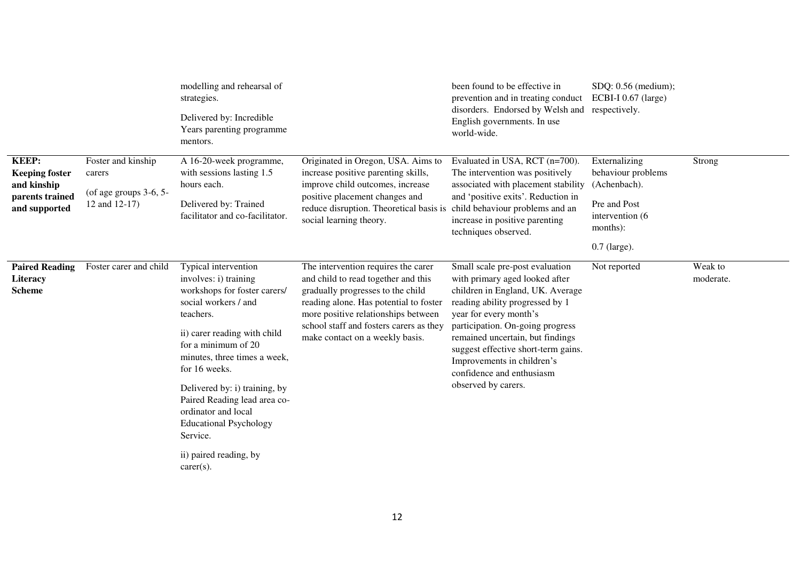|                                                                                          |                                                                              | modelling and rehearsal of<br>strategies.<br>Delivered by: Incredible<br>Years parenting programme<br>mentors.                                                                                                                                                                                                                                                                                            |                                                                                                                                                                                                                                                                                | been found to be effective in<br>prevention and in treating conduct<br>disorders. Endorsed by Welsh and<br>English governments. In use<br>world-wide.                                                                                                                                                                                                               | SDQ: 0.56 (medium);<br>ECBI-I 0.67 (large)<br>respectively.                                                          |                      |
|------------------------------------------------------------------------------------------|------------------------------------------------------------------------------|-----------------------------------------------------------------------------------------------------------------------------------------------------------------------------------------------------------------------------------------------------------------------------------------------------------------------------------------------------------------------------------------------------------|--------------------------------------------------------------------------------------------------------------------------------------------------------------------------------------------------------------------------------------------------------------------------------|---------------------------------------------------------------------------------------------------------------------------------------------------------------------------------------------------------------------------------------------------------------------------------------------------------------------------------------------------------------------|----------------------------------------------------------------------------------------------------------------------|----------------------|
| <b>KEEP:</b><br><b>Keeping foster</b><br>and kinship<br>parents trained<br>and supported | Foster and kinship<br>carers<br>(of age groups $3-6$ , $5-$<br>12 and 12-17) | A 16-20-week programme,<br>with sessions lasting 1.5<br>hours each.<br>Delivered by: Trained<br>facilitator and co-facilitator.                                                                                                                                                                                                                                                                           | Originated in Oregon, USA. Aims to<br>increase positive parenting skills,<br>improve child outcomes, increase<br>positive placement changes and<br>reduce disruption. Theoretical basis is child behaviour problems and an<br>social learning theory.                          | Evaluated in USA, RCT (n=700).<br>The intervention was positively<br>associated with placement stability<br>and 'positive exits'. Reduction in<br>increase in positive parenting<br>techniques observed.                                                                                                                                                            | Externalizing<br>behaviour problems<br>(Achenbach).<br>Pre and Post<br>intervention (6<br>months):<br>$0.7$ (large). | Strong               |
| <b>Paired Reading</b><br>Literacy<br><b>Scheme</b>                                       | Foster carer and child                                                       | Typical intervention<br>involves: i) training<br>workshops for foster carers/<br>social workers / and<br>teachers.<br>ii) carer reading with child<br>for a minimum of 20<br>minutes, three times a week,<br>for 16 weeks.<br>Delivered by: i) training, by<br>Paired Reading lead area co-<br>ordinator and local<br><b>Educational Psychology</b><br>Service.<br>ii) paired reading, by<br>$carer(s)$ . | The intervention requires the carer<br>and child to read together and this<br>gradually progresses to the child<br>reading alone. Has potential to foster<br>more positive relationships between<br>school staff and fosters carers as they<br>make contact on a weekly basis. | Small scale pre-post evaluation<br>with primary aged looked after<br>children in England, UK. Average<br>reading ability progressed by 1<br>year for every month's<br>participation. On-going progress<br>remained uncertain, but findings<br>suggest effective short-term gains.<br>Improvements in children's<br>confidence and enthusiasm<br>observed by carers. | Not reported                                                                                                         | Weak to<br>moderate. |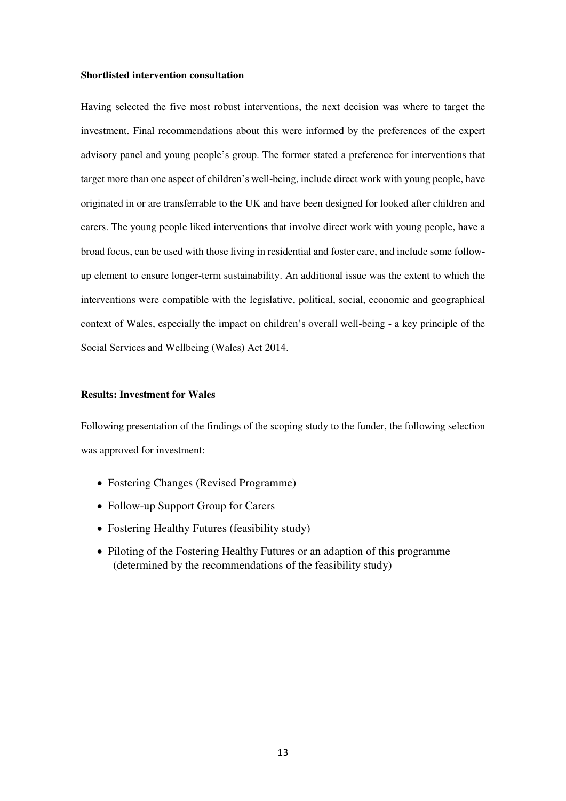#### **Shortlisted intervention consultation**

Having selected the five most robust interventions, the next decision was where to target the investment. Final recommendations about this were informed by the preferences of the expert advisory panel and young people's group. The former stated a preference for interventions that target more than one aspect of children's well-being, include direct work with young people, have originated in or are transferrable to the UK and have been designed for looked after children and carers. The young people liked interventions that involve direct work with young people, have a broad focus, can be used with those living in residential and foster care, and include some followup element to ensure longer-term sustainability. An additional issue was the extent to which the interventions were compatible with the legislative, political, social, economic and geographical context of Wales, especially the impact on children's overall well-being - a key principle of the Social Services and Wellbeing (Wales) Act 2014.

#### **Results: Investment for Wales**

Following presentation of the findings of the scoping study to the funder, the following selection was approved for investment:

- Fostering Changes (Revised Programme)
- Follow-up Support Group for Carers
- Fostering Healthy Futures (feasibility study)
- Piloting of the Fostering Healthy Futures or an adaption of this programme (determined by the recommendations of the feasibility study)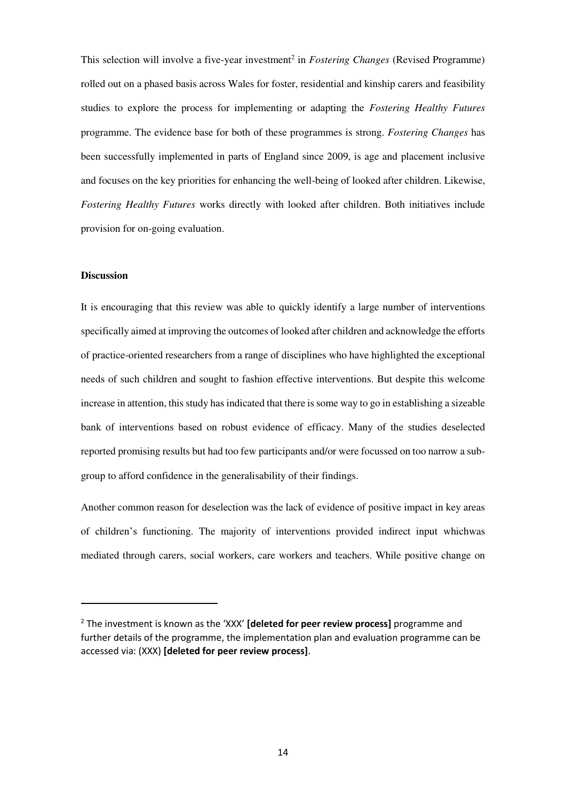This selection will involve a five-year investment<sup>2</sup> in *Fostering Changes* (Revised Programme) rolled out on a phased basis across Wales for foster, residential and kinship carers and feasibility studies to explore the process for implementing or adapting the *Fostering Healthy Futures* programme. The evidence base for both of these programmes is strong. *Fostering Changes* has been successfully implemented in parts of England since 2009, is age and placement inclusive and focuses on the key priorities for enhancing the well-being of looked after children. Likewise, *Fostering Healthy Futures* works directly with looked after children. Both initiatives include provision for on-going evaluation.

#### **Discussion**

-

It is encouraging that this review was able to quickly identify a large number of interventions specifically aimed at improving the outcomes of looked after children and acknowledge the efforts of practice-oriented researchers from a range of disciplines who have highlighted the exceptional needs of such children and sought to fashion effective interventions. But despite this welcome increase in attention, this study has indicated that there is some way to go in establishing a sizeable bank of interventions based on robust evidence of efficacy. Many of the studies deselected reported promising results but had too few participants and/or were focussed on too narrow a subgroup to afford confidence in the generalisability of their findings.

Another common reason for deselection was the lack of evidence of positive impact in key areas of children's functioning. The majority of interventions provided indirect input whichwas mediated through carers, social workers, care workers and teachers. While positive change on

<sup>2</sup> The investment is known as the 'XXX' **[deleted for peer review process]** programme and further details of the programme, the implementation plan and evaluation programme can be accessed via: (XXX) **[deleted for peer review process]**.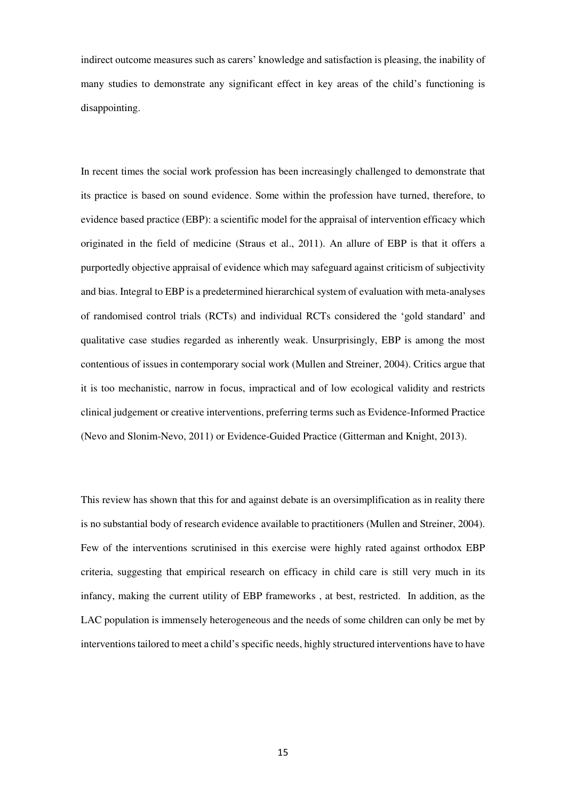indirect outcome measures such as carers' knowledge and satisfaction is pleasing, the inability of many studies to demonstrate any significant effect in key areas of the child's functioning is disappointing.

In recent times the social work profession has been increasingly challenged to demonstrate that its practice is based on sound evidence. Some within the profession have turned, therefore, to evidence based practice (EBP): a scientific model for the appraisal of intervention efficacy which originated in the field of medicine (Straus et al., 2011). An allure of EBP is that it offers a purportedly objective appraisal of evidence which may safeguard against criticism of subjectivity and bias. Integral to EBP is a predetermined hierarchical system of evaluation with meta-analyses of randomised control trials (RCTs) and individual RCTs considered the 'gold standard' and qualitative case studies regarded as inherently weak. Unsurprisingly, EBP is among the most contentious of issues in contemporary social work (Mullen and Streiner, 2004). Critics argue that it is too mechanistic, narrow in focus, impractical and of low ecological validity and restricts clinical judgement or creative interventions, preferring terms such as Evidence-Informed Practice (Nevo and Slonim-Nevo, 2011) or Evidence-Guided Practice (Gitterman and Knight, 2013).

This review has shown that this for and against debate is an oversimplification as in reality there is no substantial body of research evidence available to practitioners (Mullen and Streiner, 2004). Few of the interventions scrutinised in this exercise were highly rated against orthodox EBP criteria, suggesting that empirical research on efficacy in child care is still very much in its infancy, making the current utility of EBP frameworks , at best, restricted. In addition, as the LAC population is immensely heterogeneous and the needs of some children can only be met by interventions tailored to meet a child's specific needs, highly structured interventions have to have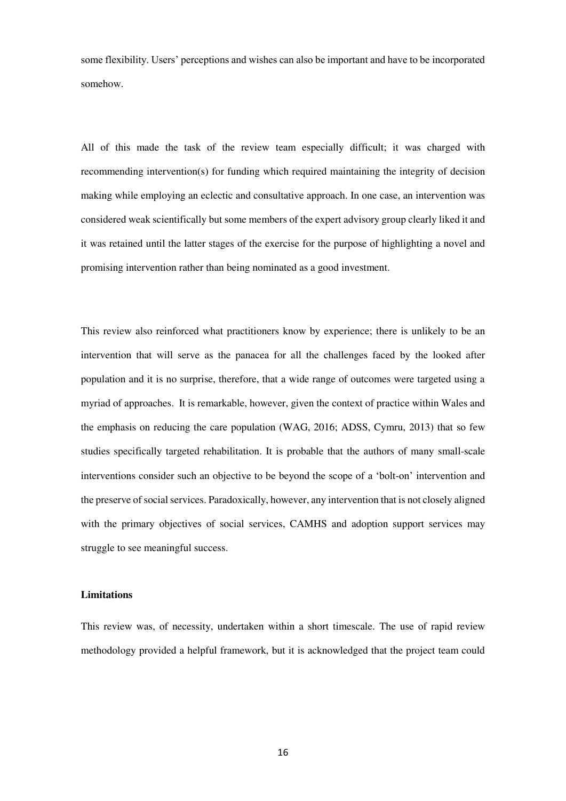some flexibility. Users' perceptions and wishes can also be important and have to be incorporated somehow.

All of this made the task of the review team especially difficult; it was charged with recommending intervention(s) for funding which required maintaining the integrity of decision making while employing an eclectic and consultative approach. In one case, an intervention was considered weak scientifically but some members of the expert advisory group clearly liked it and it was retained until the latter stages of the exercise for the purpose of highlighting a novel and promising intervention rather than being nominated as a good investment.

This review also reinforced what practitioners know by experience; there is unlikely to be an intervention that will serve as the panacea for all the challenges faced by the looked after population and it is no surprise, therefore, that a wide range of outcomes were targeted using a myriad of approaches. It is remarkable, however, given the context of practice within Wales and the emphasis on reducing the care population (WAG, 2016; ADSS, Cymru, 2013) that so few studies specifically targeted rehabilitation. It is probable that the authors of many small-scale interventions consider such an objective to be beyond the scope of a 'bolt-on' intervention and the preserve of social services. Paradoxically, however, any intervention that is not closely aligned with the primary objectives of social services, CAMHS and adoption support services may struggle to see meaningful success.

#### **Limitations**

This review was, of necessity, undertaken within a short timescale. The use of rapid review methodology provided a helpful framework, but it is acknowledged that the project team could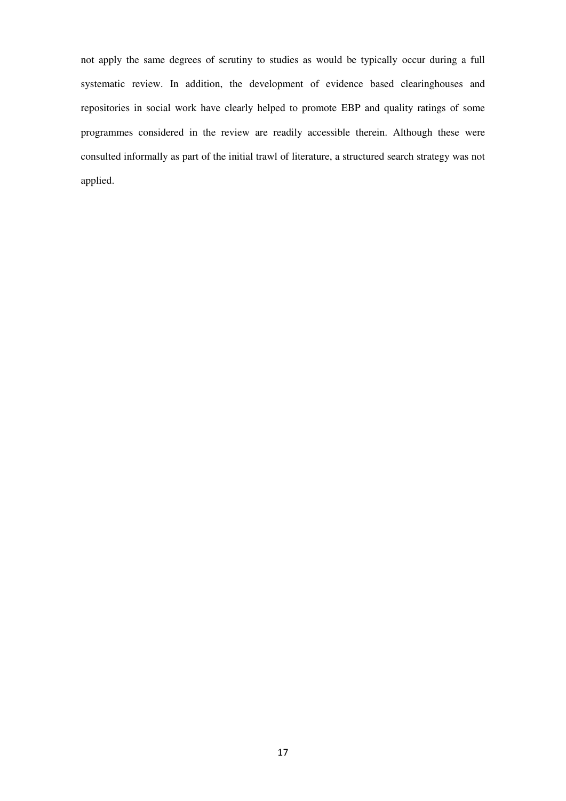not apply the same degrees of scrutiny to studies as would be typically occur during a full systematic review. In addition, the development of evidence based clearinghouses and repositories in social work have clearly helped to promote EBP and quality ratings of some programmes considered in the review are readily accessible therein. Although these were consulted informally as part of the initial trawl of literature, a structured search strategy was not applied.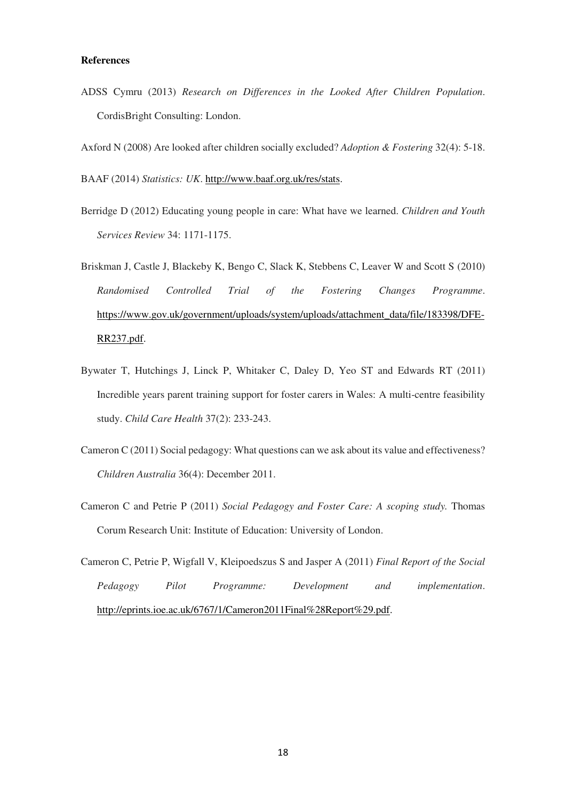#### **References**

- ADSS Cymru (2013) *Research on Differences in the Looked After Children Population*. CordisBright Consulting: London.
- Axford N (2008) Are looked after children socially excluded? *Adoption & Fostering* 32(4): 5-18.

BAAF (2014) *Statistics: UK*. [http://www.baaf.org.uk/res/stats.](http://www.baaf.org.uk/res/stats)

- Berridge D (2012) Educating young people in care: What have we learned. *Children and Youth Services Review* 34: 1171-1175.
- Briskman J, Castle J, Blackeby K, Bengo C, Slack K, Stebbens C, Leaver W and Scott S (2010) *Randomised Controlled Trial of the Fostering Changes Programme*. [https://www.gov.uk/government/uploads/system/uploads/attachment\\_data/file/183398/DFE-](https://www.gov.uk/government/uploads/system/uploads/attachment_data/file/183398/DFE-RR237.pdf)[RR237.pdf.](https://www.gov.uk/government/uploads/system/uploads/attachment_data/file/183398/DFE-RR237.pdf)
- Bywater T, Hutchings J, Linck P, Whitaker C, Daley D, Yeo ST and Edwards RT (2011) Incredible years parent training support for foster carers in Wales: A multi-centre feasibility study. *Child Care Health* 37(2): 233-243.
- Cameron C (2011) Social pedagogy: What questions can we ask about its value and effectiveness? *Children Australia* 36(4): December 2011.
- Cameron C and Petrie P (2011) *Social Pedagogy and Foster Care: A scoping study.* Thomas Corum Research Unit: Institute of Education: University of London.

Cameron C, Petrie P, Wigfall V, Kleipoedszus S and Jasper A (2011) *Final Report of the Social Pedagogy Pilot Programme: Development and implementation*. [http://eprints.ioe.ac.uk/6767/1/Cameron2011Final%28Report%29.pdf.](http://eprints.ioe.ac.uk/6767/1/Cameron2011Final%28Report%29.pdf)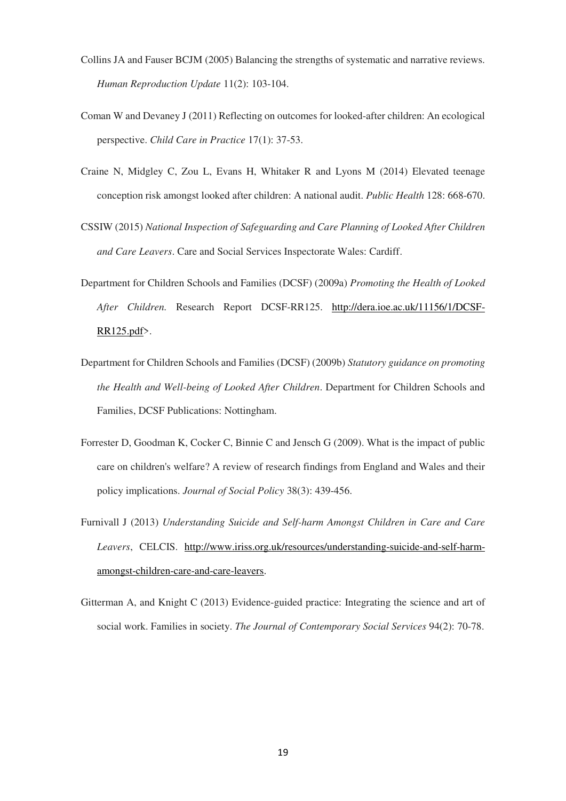- Collins JA and Fauser BCJM (2005) Balancing the strengths of systematic and narrative reviews. *Human Reproduction Update* 11(2): 103-104.
- Coman W and Devaney J (2011) Reflecting on outcomes for looked-after children: An ecological perspective. *Child Care in Practice* 17(1): 37-53.
- Craine N, Midgley C, Zou L, Evans H, Whitaker R and Lyons M (2014) Elevated teenage conception risk amongst looked after children: A national audit. *Public Health* 128: 668-670.
- CSSIW (2015) *National Inspection of Safeguarding and Care Planning of Looked After Children and Care Leavers*. Care and Social Services Inspectorate Wales: Cardiff.
- Department for Children Schools and Families (DCSF) (2009a) *Promoting the Health of Looked After Children.* Research Report DCSF-RR125. [http://dera.ioe.ac.uk/11156/1/DCSF-](http://dera.ioe.ac.uk/11156/1/DCSF-RR125.pdf)[RR125.pdf>](http://dera.ioe.ac.uk/11156/1/DCSF-RR125.pdf).
- Department for Children Schools and Families (DCSF) (2009b) *Statutory guidance on promoting the Health and Well-being of Looked After Children*. Department for Children Schools and Families, DCSF Publications: Nottingham.
- Forrester D, Goodman K, Cocker C, Binnie C and Jensch G (2009). What is the impact of public care on children's welfare? A review of research findings from England and Wales and their policy implications. *Journal of Social Policy* 38(3): 439-456.
- Furnivall J (2013) *Understanding Suicide and Self-harm Amongst Children in Care and Care Leavers*, CELCIS. [http://www.iriss.org.uk/resources/understanding-suicide-and-self-harm](http://www.iriss.org.uk/resources/understanding-suicide-and-self-harm-amongst-children-care-and-care-leavers.)[amongst-children-care-and-care-leavers.](http://www.iriss.org.uk/resources/understanding-suicide-and-self-harm-amongst-children-care-and-care-leavers.)
- Gitterman A, and Knight C (2013) Evidence-guided practice: Integrating the science and art of social work. Families in society. *The Journal of Contemporary Social Services* 94(2): 70-78.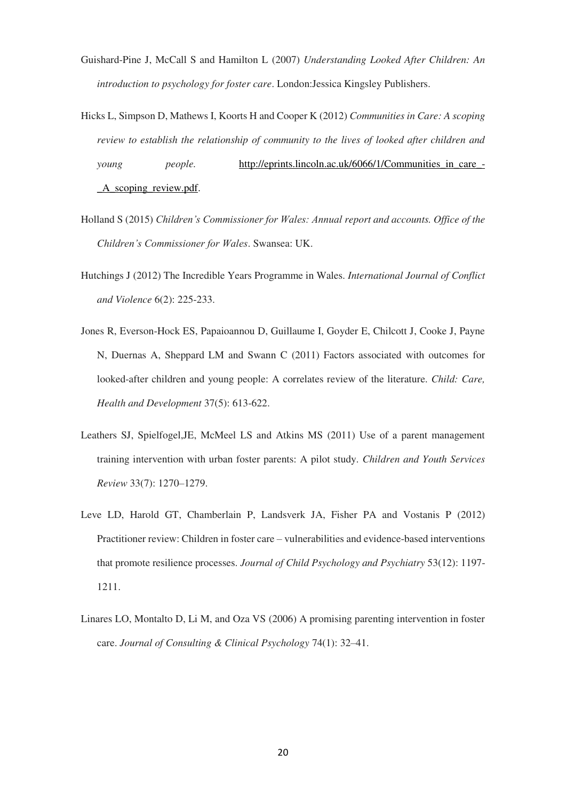- Guishard-Pine J, McCall S and Hamilton L (2007) *Understanding Looked After Children: An introduction to psychology for foster care*. London:Jessica Kingsley Publishers.
- Hicks L, Simpson D, Mathews I, Koorts H and Cooper K (2012) *Communities in Care: A scoping review to establish the relationship of community to the lives of looked after children and young people.* [http://eprints.lincoln.ac.uk/6066/1/Communities\\_in\\_care\\_-](http://eprints.lincoln.ac.uk/6066/1/Communities_in_care_-_A_scoping_review.pdf) [\\_A\\_scoping\\_review.pdf.](http://eprints.lincoln.ac.uk/6066/1/Communities_in_care_-_A_scoping_review.pdf)
- Holland S (2015) *Children's Commissioner for Wales: Annual report and accounts. Office of the Children's Commissioner for Wales*. Swansea: UK.
- Hutchings J (2012) The Incredible Years Programme in Wales. *International Journal of Conflict and Violence* 6(2): 225-233.
- Jones R, Everson-Hock ES, Papaioannou D, Guillaume I, Goyder E, Chilcott J, Cooke J, Payne N, Duernas A, Sheppard LM and Swann C (2011) Factors associated with outcomes for looked-after children and young people: A correlates review of the literature. *Child: Care, Health and Development* 37(5): 613-622.
- Leathers SJ, Spielfogel,JE, McMeel LS and Atkins MS (2011) Use of a parent management training intervention with urban foster parents: A pilot study. *Children and Youth Services Review* 33(7): 1270–1279.
- Leve LD, Harold GT, Chamberlain P, Landsverk JA, Fisher PA and Vostanis P (2012) Practitioner review: Children in foster care – vulnerabilities and evidence-based interventions that promote resilience processes. *Journal of Child Psychology and Psychiatry* 53(12): 1197- 1211.
- Linares LO, Montalto D, Li M, and Oza VS (2006) A promising parenting intervention in foster care. *Journal of Consulting & Clinical Psychology* 74(1): 32–41.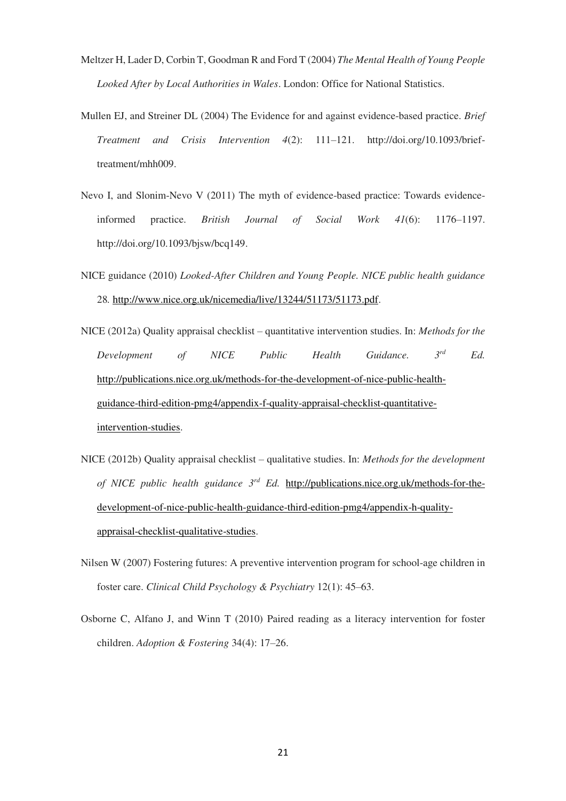- Meltzer H, Lader D, Corbin T, Goodman R and Ford T (2004) *The Mental Health of Young People Looked After by Local Authorities in Wales*. London: Office for National Statistics.
- Mullen EJ, and Streiner DL (2004) The Evidence for and against evidence-based practice. *Brief Treatment and Crisis Intervention 4*(2): 111–121. http://doi.org/10.1093/brieftreatment/mhh009.
- Nevo I, and Slonim-Nevo V (2011) The myth of evidence-based practice: Towards evidenceinformed practice. *British Journal of Social Work 41*(6): 1176–1197. http://doi.org/10.1093/bjsw/bcq149.
- NICE guidance (2010) *Looked-After Children and Young People. NICE public health guidance*  28*.* [http://www.nice.org.uk/nicemedia/live/13244/51173/51173.pdf.](http://www.nice.org.uk/nicemedia/live/13244/51173/51173.pdf)
- NICE (2012a) Quality appraisal checklist quantitative intervention studies. In: *Methods for the Development of NICE Public Health Guidance. 3rd Ed.* [http://publications.nice.org.uk/methods-for-the-development-of-nice-public-health](http://publications.nice.org.uk/methods-for-the-development-of-nice-public-health-guidance-third-edition-pmg4/appendix-f-quality-appraisal-checklist-quantitative-intervention-studies)[guidance-third-edition-pmg4/appendix-f-quality-appraisal-checklist-quantitative](http://publications.nice.org.uk/methods-for-the-development-of-nice-public-health-guidance-third-edition-pmg4/appendix-f-quality-appraisal-checklist-quantitative-intervention-studies)[intervention-studies.](http://publications.nice.org.uk/methods-for-the-development-of-nice-public-health-guidance-third-edition-pmg4/appendix-f-quality-appraisal-checklist-quantitative-intervention-studies)
- NICE (2012b) Quality appraisal checklist qualitative studies. In: *Methods for the development of NICE public health guidance 3rd Ed.* [http://publications.nice.org.uk/methods-for-the](http://publications.nice.org.uk/methods-for-the-development-of-nice-public-health-guidance-third-edition-pmg4/appendix-h-quality-appraisal-checklist-qualitative-studies)[development-of-nice-public-health-guidance-third-edition-pmg4/appendix-h-quality](http://publications.nice.org.uk/methods-for-the-development-of-nice-public-health-guidance-third-edition-pmg4/appendix-h-quality-appraisal-checklist-qualitative-studies)[appraisal-checklist-qualitative-studies.](http://publications.nice.org.uk/methods-for-the-development-of-nice-public-health-guidance-third-edition-pmg4/appendix-h-quality-appraisal-checklist-qualitative-studies)
- Nilsen W (2007) Fostering futures: A preventive intervention program for school-age children in foster care. *Clinical Child Psychology & Psychiatry* 12(1): 45–63.
- Osborne C, Alfano J, and Winn T (2010) Paired reading as a literacy intervention for foster children. *Adoption & Fostering* 34(4): 17–26.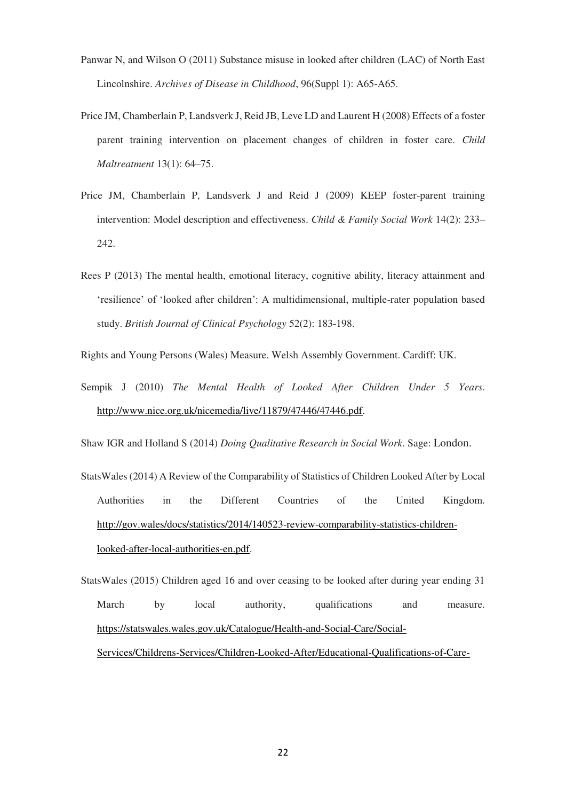- Panwar N, and Wilson O (2011) Substance misuse in looked after children (LAC) of North East Lincolnshire. *Archives of Disease in Childhood*, 96(Suppl 1): A65-A65.
- Price JM, Chamberlain P, Landsverk J, Reid JB, Leve LD and Laurent H (2008) Effects of a foster parent training intervention on placement changes of children in foster care. *Child Maltreatment* 13(1): 64–75.
- Price JM, Chamberlain P, Landsverk J and Reid J (2009) KEEP foster-parent training intervention: Model description and effectiveness. *Child & Family Social Work* 14(2): 233– 242.
- Rees P (2013) The mental health, emotional literacy, cognitive ability, literacy attainment and 'resilience' of 'looked after children': A multidimensional, multiple-rater population based study. *British Journal of Clinical Psychology* 52(2): 183-198.
- Rights and Young Persons (Wales) Measure. Welsh Assembly Government. Cardiff: UK.
- Sempik J (2010) *The Mental Health of Looked After Children Under 5 Years*. [http://www.nice.org.uk/nicemedia/live/11879/47446/47446.pdf.](http://www.nice.org.uk/nicemedia/live/11879/47446/47446.pdf)

Shaw IGR and Holland S (2014) *Doing Qualitative Research in Social Work*. Sage: London.

- StatsWales (2014) A Review of the Comparability of Statistics of Children Looked After by Local Authorities in the Different Countries of the United Kingdom. [http://gov.wales/docs/statistics/2014/140523-review-comparability-statistics-children](http://gov.wales/docs/statistics/2014/140523-review-comparability-statistics-children-looked-after-local-authorities-en.pdf)[looked-after-local-authorities-en.pdf.](http://gov.wales/docs/statistics/2014/140523-review-comparability-statistics-children-looked-after-local-authorities-en.pdf)
- StatsWales (2015) Children aged 16 and over ceasing to be looked after during year ending 31 March by local authority, qualifications and measure. [https://statswales.wales.gov.uk/Catalogue/Health-and-Social-Care/Social-](https://statswales.wales.gov.uk/Catalogue/Health-and-Social-Care/Social-Services/Childrens-Services/Children-Looked-After/Educational-Qualifications-of-Care-Leavers/childrenaged16andoverceasingtobelookedafterduringyearending31march-by-localauthority-qualifications-measure)[Services/Childrens-Services/Children-Looked-After/Educational-Qualifications-of-Care-](https://statswales.wales.gov.uk/Catalogue/Health-and-Social-Care/Social-Services/Childrens-Services/Children-Looked-After/Educational-Qualifications-of-Care-Leavers/childrenaged16andoverceasingtobelookedafterduringyearending31march-by-localauthority-qualifications-measure)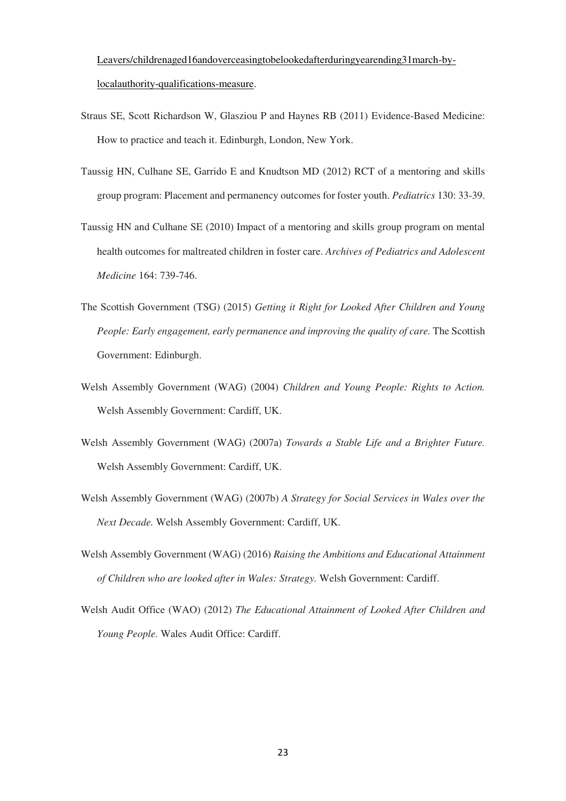[Leavers/childrenaged16andoverceasingtobelookedafterduringyearending31march-by](https://statswales.wales.gov.uk/Catalogue/Health-and-Social-Care/Social-Services/Childrens-Services/Children-Looked-After/Educational-Qualifications-of-Care-Leavers/childrenaged16andoverceasingtobelookedafterduringyearending31march-by-localauthority-qualifications-measure)[localauthority-qualifications-measure.](https://statswales.wales.gov.uk/Catalogue/Health-and-Social-Care/Social-Services/Childrens-Services/Children-Looked-After/Educational-Qualifications-of-Care-Leavers/childrenaged16andoverceasingtobelookedafterduringyearending31march-by-localauthority-qualifications-measure)

- Straus SE, Scott Richardson W, Glasziou P and Haynes RB (2011) Evidence-Based Medicine: How to practice and teach it. Edinburgh, London, New York.
- Taussig HN, Culhane SE, Garrido E and Knudtson MD (2012) RCT of a mentoring and skills group program: Placement and permanency outcomes for foster youth. *Pediatrics* 130: 33-39.
- Taussig HN and Culhane SE (2010) Impact of a mentoring and skills group program on mental health outcomes for maltreated children in foster care. *Archives of Pediatrics and Adolescent Medicine* 164: 739-746.
- The Scottish Government (TSG) (2015) *Getting it Right for Looked After Children and Young People: Early engagement, early permanence and improving the quality of care.* The Scottish Government: Edinburgh.
- Welsh Assembly Government (WAG) (2004) *Children and Young People: Rights to Action.* Welsh Assembly Government: Cardiff, UK.
- Welsh Assembly Government (WAG) (2007a) *Towards a Stable Life and a Brighter Future.*  Welsh Assembly Government: Cardiff, UK.
- Welsh Assembly Government (WAG) (2007b) *A Strategy for Social Services in Wales over the Next Decade.* Welsh Assembly Government: Cardiff, UK.
- Welsh Assembly Government (WAG) (2016) *Raising the Ambitions and Educational Attainment of Children who are looked after in Wales: Strategy.* Welsh Government: Cardiff.
- Welsh Audit Office (WAO) (2012) *The Educational Attainment of Looked After Children and Young People.* Wales Audit Office: Cardiff.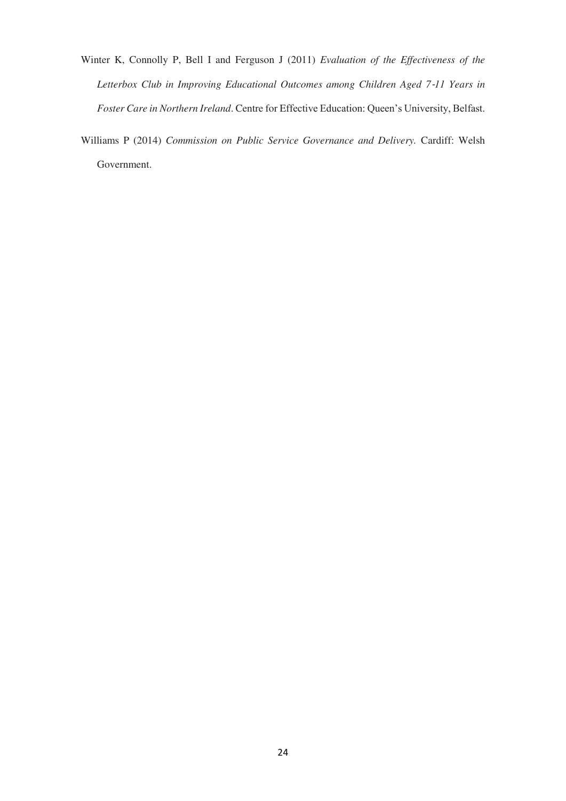- Winter K, Connolly P, Bell I and Ferguson J (2011) *Evaluation of the Effectiveness of the Letterbox Club in Improving Educational Outcomes among Children Aged 7*‐*11 Years in Foster Care in Northern Ireland*. Centre for Effective Education: Queen's University, Belfast.
- Williams P (2014) *Commission on Public Service Governance and Delivery.* Cardiff: Welsh Government.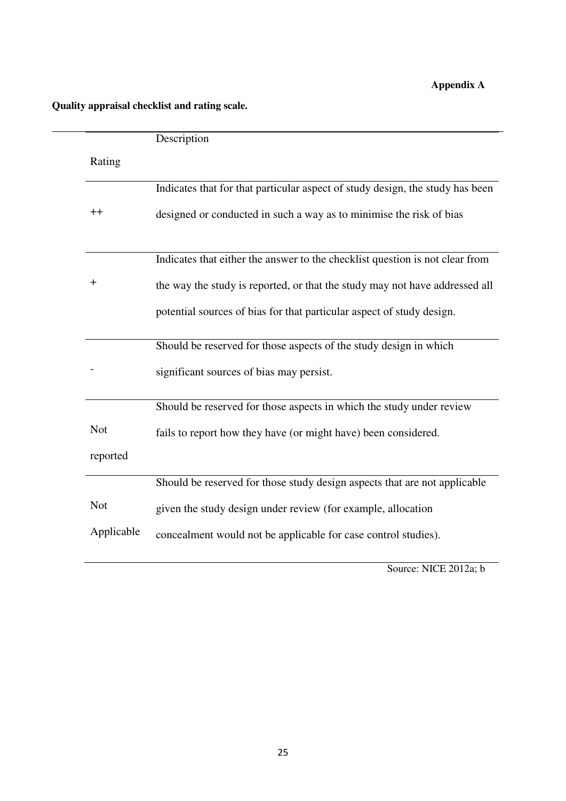# **Appendix A**

# **QQuality appraisal checklist and rating scale.**

|            | Description                                                                   |
|------------|-------------------------------------------------------------------------------|
| Rating     |                                                                               |
|            | Indicates that for that particular aspect of study design, the study has been |
| $++$       | designed or conducted in such a way as to minimise the risk of bias           |
|            | Indicates that either the answer to the checklist question is not clear from  |
| $\ddot{}$  | the way the study is reported, or that the study may not have addressed all   |
|            | potential sources of bias for that particular aspect of study design.         |
|            | Should be reserved for those aspects of the study design in which             |
|            | significant sources of bias may persist.                                      |
|            | Should be reserved for those aspects in which the study under review          |
| <b>Not</b> | fails to report how they have (or might have) been considered.                |
| reported   |                                                                               |
|            | Should be reserved for those study design aspects that are not applicable     |
| <b>Not</b> | given the study design under review (for example, allocation                  |
| Applicable | concealment would not be applicable for case control studies).                |
|            |                                                                               |

Source: NICE 2012a; b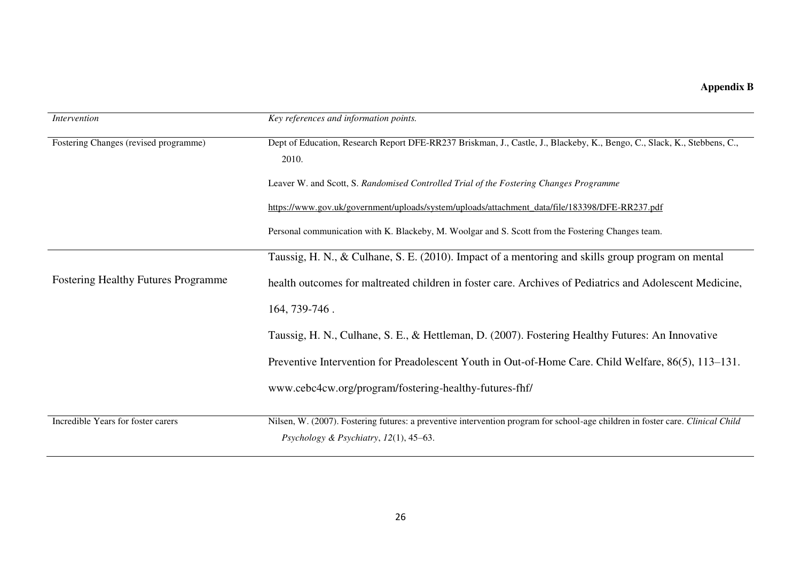**Appendix B** 

| <i>Intervention</i>                        | Key references and information points.                                                                                                                                   |  |  |
|--------------------------------------------|--------------------------------------------------------------------------------------------------------------------------------------------------------------------------|--|--|
| Fostering Changes (revised programme)      | Dept of Education, Research Report DFE-RR237 Briskman, J., Castle, J., Blackeby, K., Bengo, C., Slack, K., Stebbens, C.,<br>2010.                                        |  |  |
|                                            | Leaver W. and Scott, S. Randomised Controlled Trial of the Fostering Changes Programme                                                                                   |  |  |
|                                            | https://www.gov.uk/government/uploads/system/uploads/attachment_data/file/183398/DFE-RR237.pdf                                                                           |  |  |
|                                            | Personal communication with K. Blackeby, M. Woolgar and S. Scott from the Fostering Changes team.                                                                        |  |  |
|                                            | Taussig, H. N., & Culhane, S. E. (2010). Impact of a mentoring and skills group program on mental                                                                        |  |  |
| <b>Fostering Healthy Futures Programme</b> | health outcomes for maltreated children in foster care. Archives of Pediatrics and Adolescent Medicine,                                                                  |  |  |
|                                            | 164, 739-746.                                                                                                                                                            |  |  |
|                                            | Taussig, H. N., Culhane, S. E., & Hettleman, D. (2007). Fostering Healthy Futures: An Innovative                                                                         |  |  |
|                                            | Preventive Intervention for Preadolescent Youth in Out-of-Home Care. Child Welfare, 86(5), 113–131.                                                                      |  |  |
|                                            | www.cebc4cw.org/program/fostering-healthy-futures-fhf/                                                                                                                   |  |  |
| Incredible Years for foster carers         | Nilsen, W. (2007). Fostering futures: a preventive intervention program for school-age children in foster care. Clinical Child<br>Psychology & Psychiatry, 12(1), 45-63. |  |  |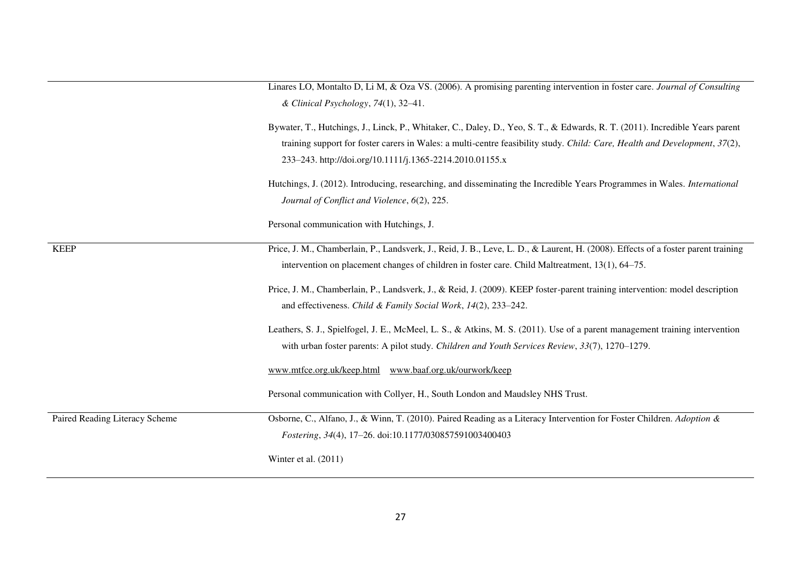Linares LO, Montalto D, Li M, & Oza VS. (2006). A promising parenting intervention in foster care. *Journal of Consulting & Clinical Psychology*, *74*(1), 32–41.

- Bywater, T., Hutchings, J., Linck, P., Whitaker, C., Daley, D., Yeo, S. T., & Edwards, R. T. (2011). Incredible Years parent training support for foster carers in Wales: a multi-centre feasibility study. *Child: Care, Health and Development*, *37*(2), 233–243. http://doi.org/10.1111/j.1365-2214.2010.01155.x
- Hutchings, J. (2012). Introducing, researching, and disseminating the Incredible Years Programmes in Wales. *International Journal of Conflict and Violence*, *6*(2), 225.

Personal communication with Hutchings, J.

KEEP Price, J. M., Chamberlain, P., Landsverk, J., Reid, J. B., Leve, L. D., & Laurent, H. (2008). Effects of a foster parent training intervention on placement changes of children in foster care. Child Maltreatment, 13(1), 64–75.

> Price, J. M., Chamberlain, P., Landsverk, J., & Reid, J. (2009). KEEP foster-parent training intervention: model description and effectiveness. *Child & Family Social Work*, *14*(2), 233–242.

> Leathers, S. J., Spielfogel, J. E., McMeel, L. S., & Atkins, M. S. (2011). Use of a parent management training intervention with urban foster parents: A pilot study. *Children and Youth Services Review*, *33*(7), 1270–1279.

[www.mtfce.org.uk/keep.html](http://www.mtfce.org.uk/keep.html) [www.baaf.org.uk/ourwork/keep](http://www.baaf.org.uk/ourwork/keep) 

Personal communication with Collyer, H., South London and Maudsley NHS Trust.

Paired Reading Literacy Scheme Osborne, C., Alfano, J., & Winn, T. (2010). Paired Reading as a Literacy Intervention for Foster Children. *Adoption & Fostering*, *34*(4), 17–26. doi:10.1177/030857591003400403

Winter et al. (2011)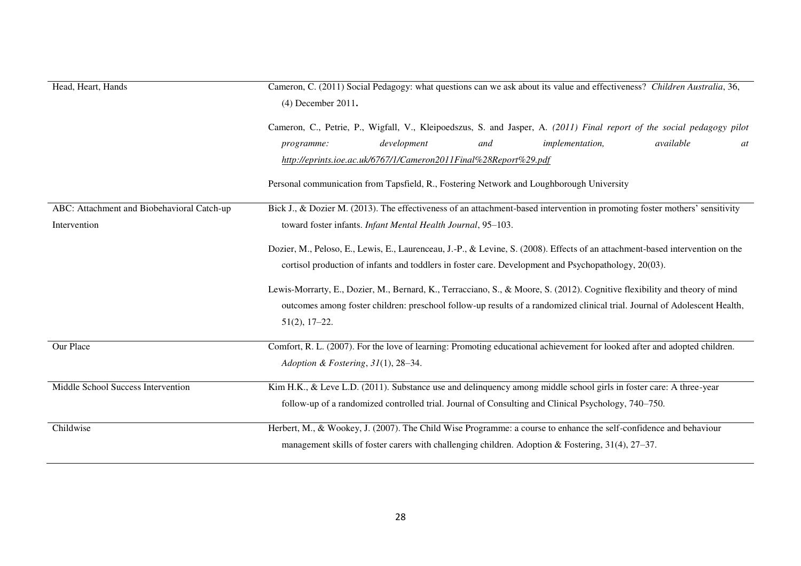| Head, Heart, Hands                         | Cameron, C. (2011) Social Pedagogy: what questions can we ask about its value and effectiveness? Children Australia, 36,                                                                                |  |  |  |
|--------------------------------------------|---------------------------------------------------------------------------------------------------------------------------------------------------------------------------------------------------------|--|--|--|
|                                            | (4) December 2011.                                                                                                                                                                                      |  |  |  |
|                                            | Cameron, C., Petrie, P., Wigfall, V., Kleipoedszus, S. and Jasper, A. (2011) Final report of the social pedagogy pilot<br>development<br>available<br><i>implementation,</i><br>and<br>programme:<br>at |  |  |  |
|                                            | http://eprints.ioe.ac.uk/6767/1/Cameron2011Final%28Report%29.pdf                                                                                                                                        |  |  |  |
|                                            | Personal communication from Tapsfield, R., Fostering Network and Loughborough University                                                                                                                |  |  |  |
| ABC: Attachment and Biobehavioral Catch-up | Bick J., & Dozier M. (2013). The effectiveness of an attachment-based intervention in promoting foster mothers' sensitivity                                                                             |  |  |  |
| Intervention                               | toward foster infants. Infant Mental Health Journal, 95-103.                                                                                                                                            |  |  |  |
|                                            | Dozier, M., Peloso, E., Lewis, E., Laurenceau, J.-P., & Levine, S. (2008). Effects of an attachment-based intervention on the                                                                           |  |  |  |
|                                            | cortisol production of infants and toddlers in foster care. Development and Psychopathology, 20(03).                                                                                                    |  |  |  |
|                                            | Lewis-Morrarty, E., Dozier, M., Bernard, K., Terracciano, S., & Moore, S. (2012). Cognitive flexibility and theory of mind                                                                              |  |  |  |
|                                            | outcomes among foster children: preschool follow-up results of a randomized clinical trial. Journal of Adolescent Health,                                                                               |  |  |  |
|                                            | $51(2), 17-22.$                                                                                                                                                                                         |  |  |  |
| Our Place                                  | Comfort, R. L. (2007). For the love of learning: Promoting educational achievement for looked after and adopted children.                                                                               |  |  |  |
|                                            | Adoption & Fostering, 31(1), 28-34.                                                                                                                                                                     |  |  |  |
| Middle School Success Intervention         | Kim H.K., & Leve L.D. (2011). Substance use and delinguency among middle school girls in foster care: A three-year                                                                                      |  |  |  |
|                                            | follow-up of a randomized controlled trial. Journal of Consulting and Clinical Psychology, 740–750.                                                                                                     |  |  |  |
| Childwise                                  | Herbert, M., & Wookey, J. (2007). The Child Wise Programme: a course to enhance the self-confidence and behaviour                                                                                       |  |  |  |
|                                            | management skills of foster carers with challenging children. Adoption & Fostering, $31(4)$ , $27-37$ .                                                                                                 |  |  |  |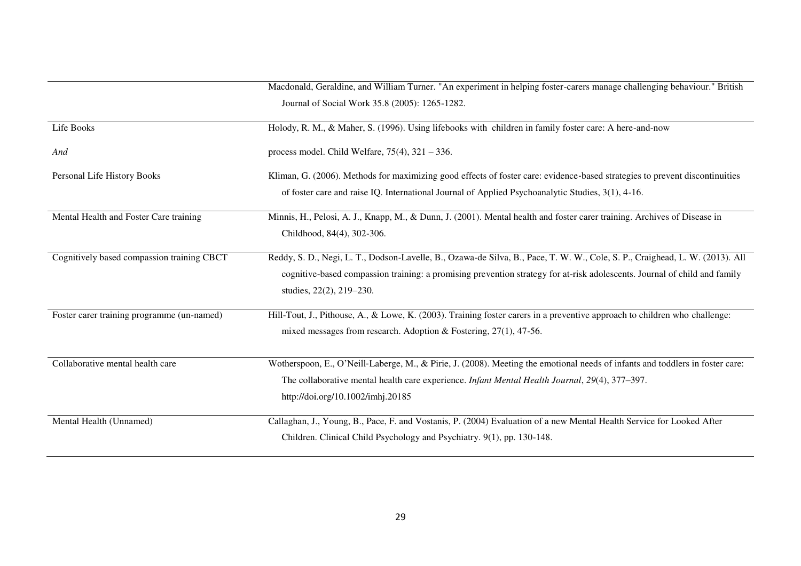|                                            | Macdonald, Geraldine, and William Turner. "An experiment in helping foster-carers manage challenging behaviour." British      |
|--------------------------------------------|-------------------------------------------------------------------------------------------------------------------------------|
|                                            | Journal of Social Work 35.8 (2005): 1265-1282.                                                                                |
| Life Books                                 | Holody, R. M., & Maher, S. (1996). Using lifebooks with children in family foster care: A here-and-now                        |
| And                                        | process model. Child Welfare, $75(4)$ , $321 - 336$ .                                                                         |
| Personal Life History Books                | Kliman, G. (2006). Methods for maximizing good effects of foster care: evidence-based strategies to prevent discontinuities   |
|                                            | of foster care and raise IQ. International Journal of Applied Psychoanalytic Studies, 3(1), 4-16.                             |
| Mental Health and Foster Care training     | Minnis, H., Pelosi, A. J., Knapp, M., & Dunn, J. (2001). Mental health and foster carer training. Archives of Disease in      |
|                                            | Childhood, 84(4), 302-306.                                                                                                    |
| Cognitively based compassion training CBCT | Reddy, S. D., Negi, L. T., Dodson-Lavelle, B., Ozawa-de Silva, B., Pace, T. W. W., Cole, S. P., Craighead, L. W. (2013). All  |
|                                            | cognitive-based compassion training; a promising prevention strategy for at-risk adolescents. Journal of child and family     |
|                                            | studies, 22(2), 219-230.                                                                                                      |
| Foster carer training programme (un-named) | Hill-Tout, J., Pithouse, A., & Lowe, K. (2003). Training foster carers in a preventive approach to children who challenge:    |
|                                            | mixed messages from research. Adoption & Fostering, $27(1)$ , 47-56.                                                          |
| Collaborative mental health care           | Wotherspoon, E., O'Neill-Laberge, M., & Pirie, J. (2008). Meeting the emotional needs of infants and toddlers in foster care: |
|                                            | The collaborative mental health care experience. <i>Infant Mental Health Journal</i> , 29(4), 377–397.                        |
|                                            | http://doi.org/10.1002/imhj.20185                                                                                             |
| Mental Health (Unnamed)                    | Callaghan, J., Young, B., Pace, F. and Vostanis, P. (2004) Evaluation of a new Mental Health Service for Looked After         |
|                                            | Children. Clinical Child Psychology and Psychiatry. 9(1), pp. 130-148.                                                        |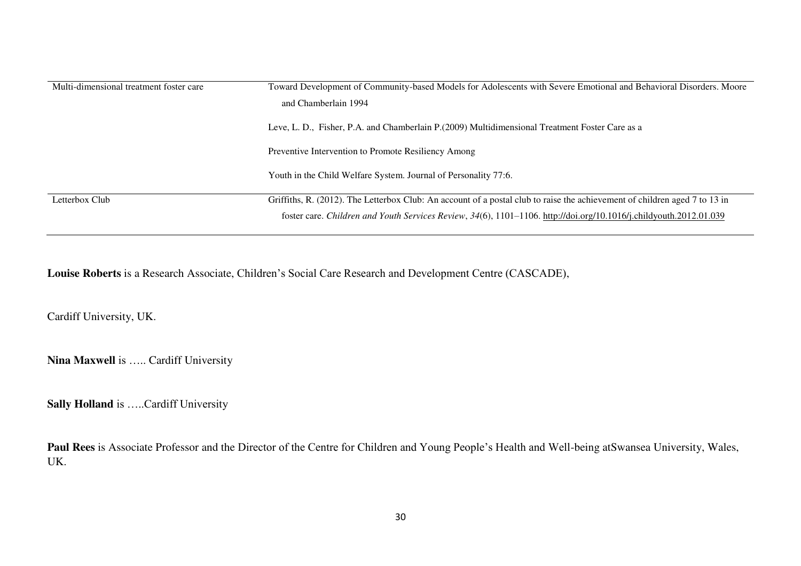| Multi-dimensional treatment foster care | Toward Development of Community-based Models for Adolescents with Severe Emotional and Behavioral Disorders. Moore<br>and Chamberlain 1994                                                                                                       |  |  |
|-----------------------------------------|--------------------------------------------------------------------------------------------------------------------------------------------------------------------------------------------------------------------------------------------------|--|--|
|                                         | Leve, L. D., Fisher, P.A. and Chamberlain P. (2009) Multidimensional Treatment Foster Care as a                                                                                                                                                  |  |  |
|                                         | Preventive Intervention to Promote Resiliency Among                                                                                                                                                                                              |  |  |
|                                         | Youth in the Child Welfare System. Journal of Personality 77:6.                                                                                                                                                                                  |  |  |
| Letterbox Club                          | Griffiths, R. (2012). The Letterbox Club: An account of a postal club to raise the achievement of children aged 7 to 13 in<br>foster care. Children and Youth Services Review, 34(6), 1101-1106. http://doi.org/10.1016/j.childyouth.2012.01.039 |  |  |

**Louise Roberts** is a Research Associate, Children's Social Care Research and Development Centre (CASCADE),

Cardiff University, UK.

**Nina Maxwell** is ….. Cardiff University

**Sally Holland** is …..Cardiff University

**Paul Rees** is Associate Professor and the Director of the Centre for Children and Young People's Health and Well-being atSwansea University, Wales, UK.